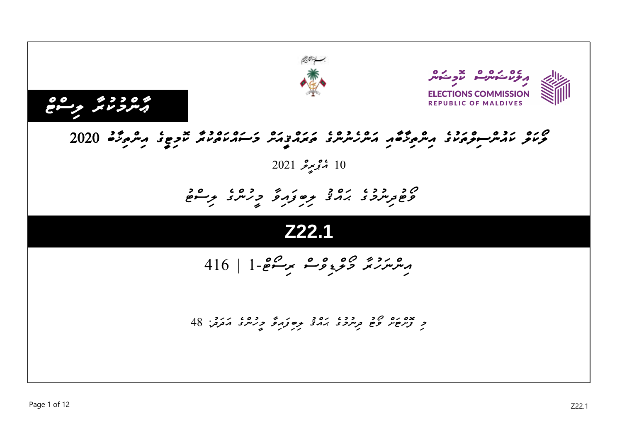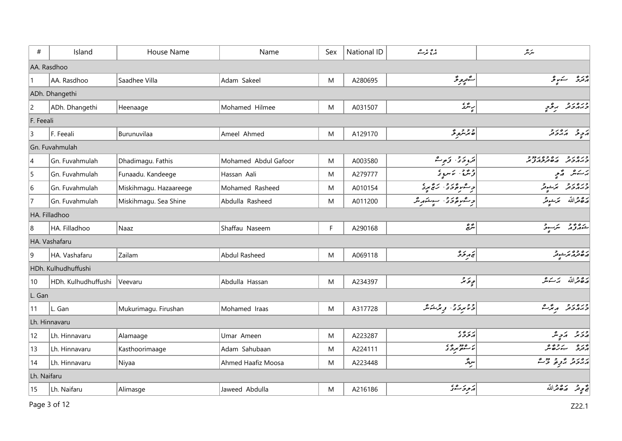| #              | Island              | House Name             | Name                 | Sex       | National ID | ، ه ، بر<br>د ، بر شر                     | ىئرىتر                                                                              |
|----------------|---------------------|------------------------|----------------------|-----------|-------------|-------------------------------------------|-------------------------------------------------------------------------------------|
|                | AA. Rasdhoo         |                        |                      |           |             |                                           |                                                                                     |
|                | AA. Rasdhoo         | Saadhee Villa          | Adam Sakeel          | M         | A280695     | گوروگر                                    | ړونو سکړی                                                                           |
|                | ADh. Dhangethi      |                        |                      |           |             |                                           |                                                                                     |
| 2              | ADh. Dhangethi      | Heenaage               | Mohamed Hilmee       | M         | A031507     | رېترنه                                    | ورەرو بەۋر                                                                          |
| F. Feeali      |                     |                        |                      |           |             |                                           |                                                                                     |
| $\overline{3}$ | F. Feeali           | Burunuvilaa            | Ameel Ahmed          | M         | A129170     | پرېتر <sub>ى ب</sub> ۇ                    | پر په پرور د                                                                        |
|                | Gn. Fuvahmulah      |                        |                      |           |             |                                           |                                                                                     |
| 4              | Gn. Fuvahmulah      | Dhadimagu. Fathis      | Mohamed Abdul Gafoor | M         | A003580     | تندو تری تر توسیه                         | ر ٥ ٥ ٥ ٥ ٠ ٥ ٠<br>پرې تر پر تر بر<br>و ر ه ر د<br><del>و</del> بر <sub>م</sub> رکز |
| 5              | Gn. Fuvahmulah      | Funaadu. Kandeege      | Hassan Aali          | M         | A279777     | و پېړۍ تم <b>س</b> ونه                    | يركس كالمح                                                                          |
| 6              | Gn. Fuvahmulah      | Miskihmagu. Hazaareege | Mohamed Rasheed      | M         | A010154     | وېشما د ده. د نځ برد                      | وره در در برخونر<br>وبراد و در برخونر                                               |
| 7              | Gn. Fuvahmulah      | Miskihmagu. Sea Shine  | Abdulla Rasheed      | M         | A011200     |                                           | رە قراللە ئىم ئىسى                                                                  |
|                | HA. Filladhoo       |                        |                      |           |             |                                           |                                                                                     |
| 8              | HA. Filladhoo       | Naaz                   | Shaffau Naseem       | F.        | A290168     | سرچ                                       | شەرەپە سەسىر                                                                        |
|                | HA. Vashafaru       |                        |                      |           |             |                                           |                                                                                     |
| 9              | HA. Vashafaru       | Zailam                 | <b>Abdul Rasheed</b> | M         | A069118     | ئەرىخە                                    | ر ٥ ۶ ٥ ر<br>پرک تو پر شوتر                                                         |
|                | HDh. Kulhudhuffushi |                        |                      |           |             |                                           |                                                                                     |
| $ 10\rangle$   | HDh. Kulhudhuffushi | Veevaru                | Abdulla Hassan       | M         | A234397     | حە جە ئىر<br>ئە                           | رەقراللە برىكە                                                                      |
| L. Gan         |                     |                        |                      |           |             |                                           |                                                                                     |
| 11             | L. Gan              | Mukurimagu. Firushan   | Mohamed Iraas        | ${\sf M}$ | A317728     | <mark>وو</mark> بروی و برخ <sub>ت</sub> ر | ورەرو مەش                                                                           |
|                | Lh. Hinnavaru       |                        |                      |           |             |                                           |                                                                                     |
| 12             | Lh. Hinnavaru       | Alamaage               | Umar Ameen           | M         | A223287     | پر پڑی                                    | در بر در مد                                                                         |
| 13             | Lh. Hinnavaru       | Kasthoorimaage         | Adam Sahubaan        | M         | A224111     | ر ۶۵۰۰ و.<br>ما سوم برد د                 | وره پردومر                                                                          |
| 14             | Lh. Hinnavaru       | Niyaa                  | Ahmed Haafiz Moosa   | M         | A223448     | سرچر                                      | رەر دېمبر دېمبر دي.<br>مەدونى مار دېمبر                                             |
| Lh. Naifaru    |                     |                        |                      |           |             |                                           |                                                                                     |
| 15             | Lh. Naifaru         | Alimasge               | Jaweed Abdulla       | ${\sf M}$ | A216186     | ېز پېړ <sup>ه</sup> دی                    | قَے مِر قمہ مَرَ اللّٰہ                                                             |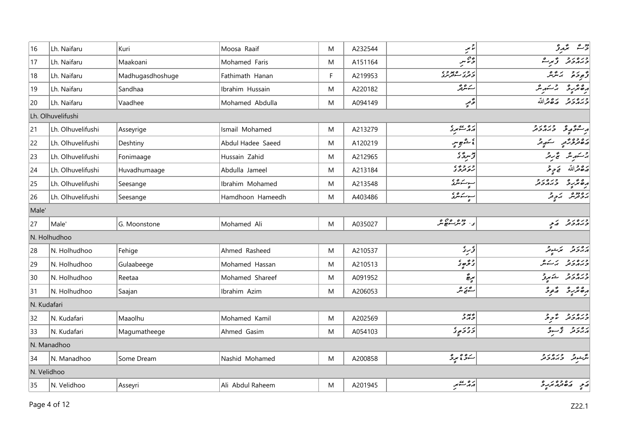| 16          | Lh. Naifaru       | Kuri             | Moosa Raaif       | M         | A232544 | لتمبر                          | در ممبر<br>در مس                                                                |
|-------------|-------------------|------------------|-------------------|-----------|---------|--------------------------------|---------------------------------------------------------------------------------|
| 17          | Lh. Naifaru       | Maakoani         | Mohamed Faris     | M         | A151164 | وم<br>قرنامبر                  | ورەرو ۋېرگ                                                                      |
| 18          | Lh. Naifaru       | Madhugasdhoshuge | Fathimath Hanan   | F         | A219953 |                                | و ده برگړه                                                                      |
| 19          | Lh. Naifaru       | Sandhaa          | Ibrahim Hussain   | M         | A220182 | ىە ھەقر                        | رەتمەر ئەسىر                                                                    |
| 20          | Lh. Naifaru       | Vaadhee          | Mohamed Abdulla   | M         | A094149 | حٌسٍ                           | وره رو ده دالله                                                                 |
|             | Lh. Olhuvelifushi |                  |                   |           |         |                                |                                                                                 |
| 21          | Lh. Olhuvelifushi | Asseyrige        | Ismail Mohamed    | M         | A213279 | بر ۹ سنو پر <sup>ج</sup>       | و عرضو وره در                                                                   |
| 22          | Lh. Olhuvelifushi | Deshtiny         | Abdul Hadee Saeed | M         | A120219 | ې<br>ډېشوسر                    | ره وه وري<br>مەھەر دىگرىمى سىكى ئىر                                             |
| 23          | Lh. Olhuvelifushi | Fonimaage        | Hussain Zahid     | M         | A212965 | بر<br>ترسرچري                  | ج سكور شرح محر يتجرب تركيب<br>ج سكور شرح محر يتجرب تركيب<br>مرة قرالله من تحريح |
| 24          | Lh. Olhuvelifushi | Huvadhumaage     | Abdulla Jameel    | M         | A213184 | و ر و د »<br>ر و ترو د         |                                                                                 |
| 25          | Lh. Olhuvelifushi | Seesange         | Ibrahim Mohamed   | M         | A213548 | اسەسەتىدى<br>پە                |                                                                                 |
| 26          | Lh. Olhuvelifushi | Seesange         | Hamdhoon Hameedh  | M         | A403486 | بسويتهم                        | رەپور پەر                                                                       |
| Male'       |                   |                  |                   |           |         |                                |                                                                                 |
|             |                   |                  |                   |           |         |                                |                                                                                 |
| 27          | Male'             | G. Moonstone     | Mohamed Ali       | M         | A035027 | ى ئۇمۇسۇھ بىر                  | ورەر دىر                                                                        |
|             | N. Holhudhoo      |                  |                   |           |         |                                |                                                                                 |
| 28          | N. Holhudhoo      | Fehige           | Ahmed Rasheed     | M         | A210537 | كوربحه                         |                                                                                 |
| 29          | N. Holhudhoo      | Gulaabeege       | Mohamed Hassan    | M         | A210513 | د و همه مي<br>د تره د          | رەر تەخمىسى<br>مەركى تەخمىسى<br>ورەرو پرىكە                                     |
| 30          | N. Holhudhoo      | Reetaa           | Mohamed Shareef   | M         | A091952 | بريج                           |                                                                                 |
| 31          | N. Holhudhoo      | Saajan           | Ibrahim Azim      | M         | A206053 | سەم ئىر                        | ورەرو شەرۇ                                                                      |
| N. Kudafari |                   |                  |                   |           |         |                                |                                                                                 |
| 32          | N. Kudafari       | Maaolhu          | Mohamed Kamil     | M         | A202569 | پر بر و<br>و پر ن              |                                                                                 |
| 33          | N. Kudafari       | Magumatheege     | Ahmed Gasim       | M         | A054103 | ر ور<br>5 د 5 م <sub>و</sub> د | وبرورو شروفه<br>رەرو ۋىرو                                                       |
|             | N. Manadhoo       |                  |                   |           |         |                                |                                                                                 |
| 34          | N. Manadhoo       | Some Dream       | Nashid Mohamed    | ${\sf M}$ | A200858 | بده و هرد                      | ش وره در وران<br>سرشونر وبروونر                                                 |
| N. Velidhoo |                   |                  |                   |           |         |                                |                                                                                 |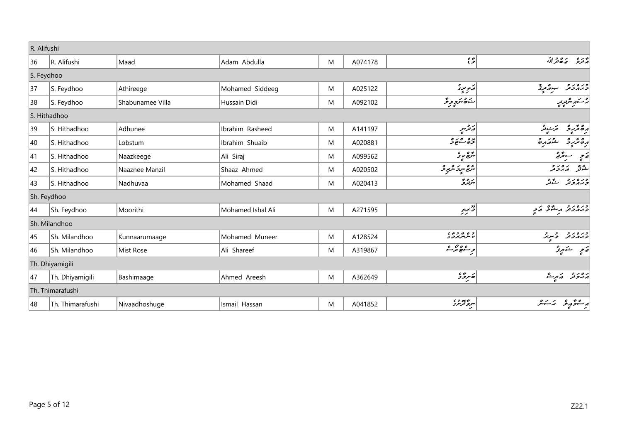| R. Alifushi |                  |                  |                   |           |         |                                                       |                                    |
|-------------|------------------|------------------|-------------------|-----------|---------|-------------------------------------------------------|------------------------------------|
| 36          | R. Alifushi      | Maad             | Adam Abdulla      | M         | A074178 | $\overset{\circ}{\mathcal{E}}$                        | أرتره روقرالله                     |
|             | S. Feydhoo       |                  |                   |           |         |                                                       |                                    |
| 37          | S. Feydhoo       | Athireege        | Mohamed Siddeeg   | M         | A025122 | أرجو مبرئه                                            | وره رو سوړورو                      |
| 38          | S. Feydhoo       | Shabunamee Villa | Hussain Didi      | M         | A092102 | شەھ ئىكرىرىدۇ.                                        | جريسكوبر تورور                     |
|             | S. Hithadhoo     |                  |                   |           |         |                                                       |                                    |
| 39          | S. Hithadhoo     | Adhunee          | Ibrahim Rasheed   | ${\sf M}$ | A141197 | ەر قرىبر                                              | ەر ھەتمەر 2<br>ر<br>ىمەسىيە قىر    |
| 40          | l S. Hithadhoo   | Lobstum          | Ibrahim Shuaib    | M         | A020881 | بره ره بره<br>مر <i>ه س</i> وره                       | ە ھەتئەر 2<br>برھەتئەر 2<br>شتەدرە |
| 41          | S. Hithadhoo     | Naazkeege        | Ali Siraj         | M         | A099562 | پره په په<br>متریج پ <sub>و</sub> ته                  | أوسمع سيوقيني                      |
| 42          | S. Hithadhoo     | Naaznee Manzil   | Shaaz Ahmed       | ${\sf M}$ | A020502 | م <sup>ە</sup> چ <sub>سرى</sub> جە مە <sub>مى</sub> ج | أشكش مرورو                         |
| 43          | S. Hithadhoo     | Nadhuvaa         | Mohamed Shaad     | M         | A020413 | ر و ر<br>سربرگ                                        | وره رو در در<br>تربربر تر مشتر     |
|             | Sh. Feydhoo      |                  |                   |           |         |                                                       |                                    |
| 44          | Sh. Feydhoo      | Moorithi         | Mohamed Ishal Ali | M         | A271595 | ود<br>تر مرمو                                         | ورەرو رىشۇ كەر                     |
|             | Sh. Milandhoo    |                  |                   |           |         |                                                       |                                    |
| 45          | Sh. Milandhoo    | Kunnaarumaage    | Mohamed Muneer    | M         | A128524 | و ه په وه و<br>ما سرسرچرۍ                             | وره دو و سرچ                       |
| 46          | Sh. Milandhoo    | Mist Rose        | Ali Shareef       | M         | A319867 | د مەھ بۇر                                             | أركبو المشاموقر                    |
|             | Th. Dhiyamigili  |                  |                   |           |         |                                                       |                                    |
| 47          | Th. Dhiyamigili  | Bashimaage       | Ahmed Areesh      | M         | A362649 | پروگوی                                                | أركاد وكالمراشر                    |
|             | Th. Thimarafushi |                  |                   |           |         |                                                       |                                    |
| 48          | Th. Thimarafushi | Nivaadhoshuge    | Ismail Hassan     | ${\sf M}$ | A041852 | ر پر د د ،<br>سرچ تر تر تر                            | رىقۇر ئەسكىر                       |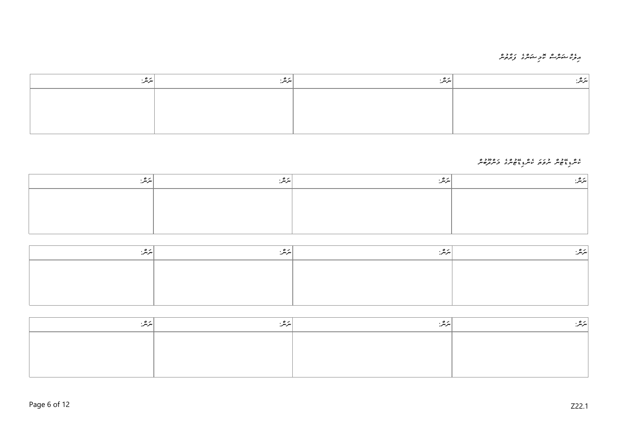## *w7qAn8m? sCw7mRo>u; wEw7mRw;sBo<*

| ' مرمر | 'يئرىثر: |
|--------|----------|
|        |          |
|        |          |
|        |          |

## w*99909 sccggram sccggram*<br>מית 29 שית יתפה, מית 29 שית 5 בית **ב**סית

| ىر تە | $\mathcal{O} \times$<br>$\sim$ | $\sim$<br>. . | لترنثر |
|-------|--------------------------------|---------------|--------|
|       |                                |               |        |
|       |                                |               |        |
|       |                                |               |        |

| انترنثر: | $^{\circ}$ | يبرهر | $^{\circ}$<br>سرسر |
|----------|------------|-------|--------------------|
|          |            |       |                    |
|          |            |       |                    |
|          |            |       |                    |

| ' ئىرتىر: | سر سر |  |
|-----------|-------|--|
|           |       |  |
|           |       |  |
|           |       |  |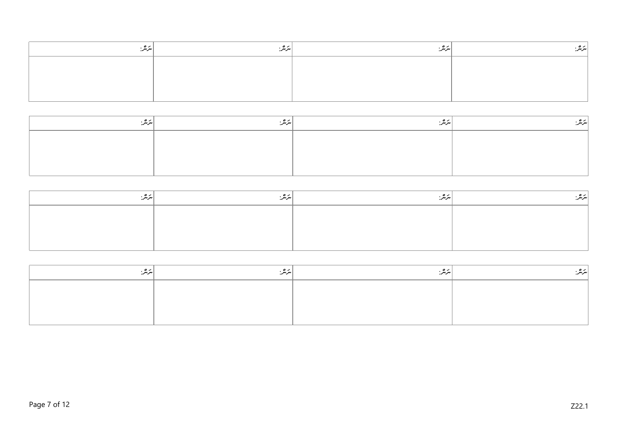| يزهر | $^{\circ}$ | ىئرىتر: |  |
|------|------------|---------|--|
|      |            |         |  |
|      |            |         |  |
|      |            |         |  |

| متريثر به | 。<br>'سرسر'۔ | يتزيترا | سرسر |
|-----------|--------------|---------|------|
|           |              |         |      |
|           |              |         |      |
|           |              |         |      |

| ىئرىتر. | $\sim$ | ا بر هه. | لىرىش |
|---------|--------|----------|-------|
|         |        |          |       |
|         |        |          |       |
|         |        |          |       |

| 。<br>مرس. | $\overline{\phantom{a}}$<br>مر مىر | يتريثر |
|-----------|------------------------------------|--------|
|           |                                    |        |
|           |                                    |        |
|           |                                    |        |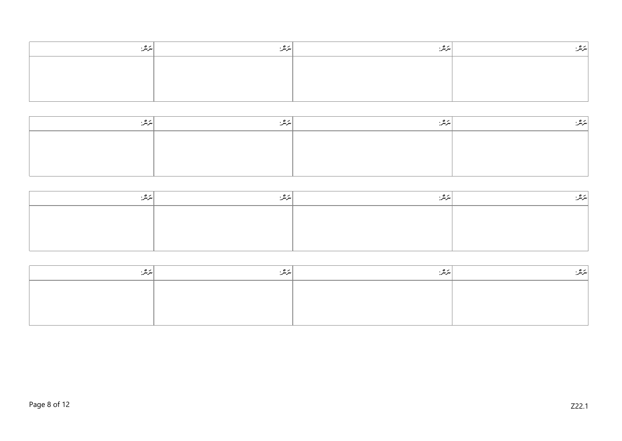| ير هو . | $\overline{\phantom{a}}$ | يرمر | اير هنه. |
|---------|--------------------------|------|----------|
|         |                          |      |          |
|         |                          |      |          |
|         |                          |      |          |

| ىر تىر: | $\circ$ $\sim$<br>" سرسر . | يترمير | o . |
|---------|----------------------------|--------|-----|
|         |                            |        |     |
|         |                            |        |     |
|         |                            |        |     |

| نتزيتر به | 。 | 。<br>سرسر. | o <i>~</i> |
|-----------|---|------------|------------|
|           |   |            |            |
|           |   |            |            |
|           |   |            |            |

|  | . ه |
|--|-----|
|  |     |
|  |     |
|  |     |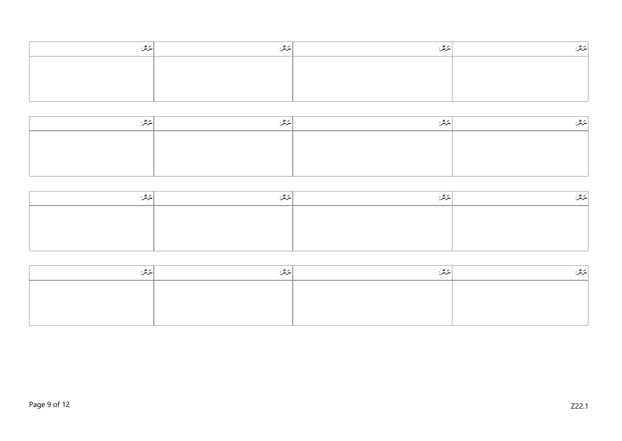| ير هو . | $\overline{\phantom{a}}$ | يرمر | اير هنه. |
|---------|--------------------------|------|----------|
|         |                          |      |          |
|         |                          |      |          |
|         |                          |      |          |

| ئىرتىر: | $\sim$<br>ا سرسر . | يئرمثر | o . |
|---------|--------------------|--------|-----|
|         |                    |        |     |
|         |                    |        |     |
|         |                    |        |     |

| انترنثر: | ر ه |  |
|----------|-----|--|
|          |     |  |
|          |     |  |
|          |     |  |

|  | . ه |
|--|-----|
|  |     |
|  |     |
|  |     |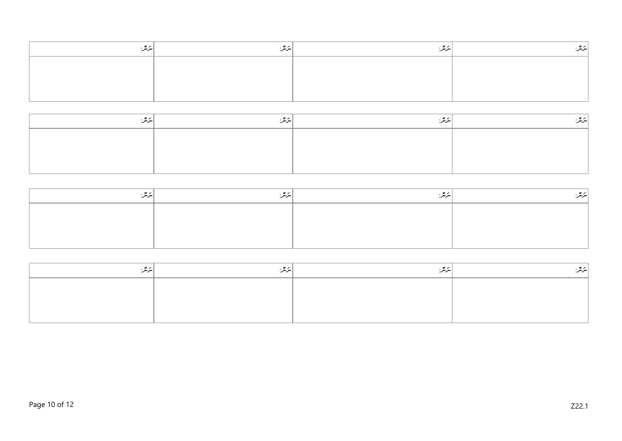| ير هو . | $\overline{\phantom{a}}$ | يرمر | اير هنه. |
|---------|--------------------------|------|----------|
|         |                          |      |          |
|         |                          |      |          |
|         |                          |      |          |

| ايرعر: | ر ه<br>. . |  |
|--------|------------|--|
|        |            |  |
|        |            |  |
|        |            |  |

| بر ه | 。 | $\overline{\phantom{0}}$<br>َ سومس. |  |
|------|---|-------------------------------------|--|
|      |   |                                     |  |
|      |   |                                     |  |
|      |   |                                     |  |

| 。<br>. س | ىرىىر |  |
|----------|-------|--|
|          |       |  |
|          |       |  |
|          |       |  |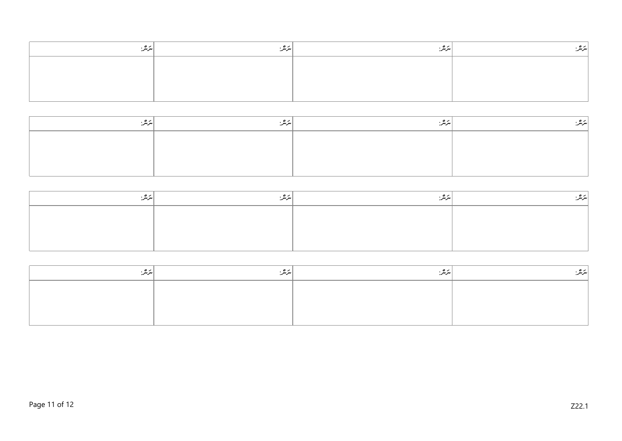| ير هو . | $\overline{\phantom{a}}$ | يرمر | اير هنه. |
|---------|--------------------------|------|----------|
|         |                          |      |          |
|         |                          |      |          |
|         |                          |      |          |

| ئىرتىر: | $\sim$<br>ا سرسر . | يئرمثر | o . |
|---------|--------------------|--------|-----|
|         |                    |        |     |
|         |                    |        |     |
|         |                    |        |     |

| لترتكر: | الترنثر: | ابر همه: | الترنثر: |
|---------|----------|----------|----------|
|         |          |          |          |
|         |          |          |          |
|         |          |          |          |

|  | . ه |
|--|-----|
|  |     |
|  |     |
|  |     |